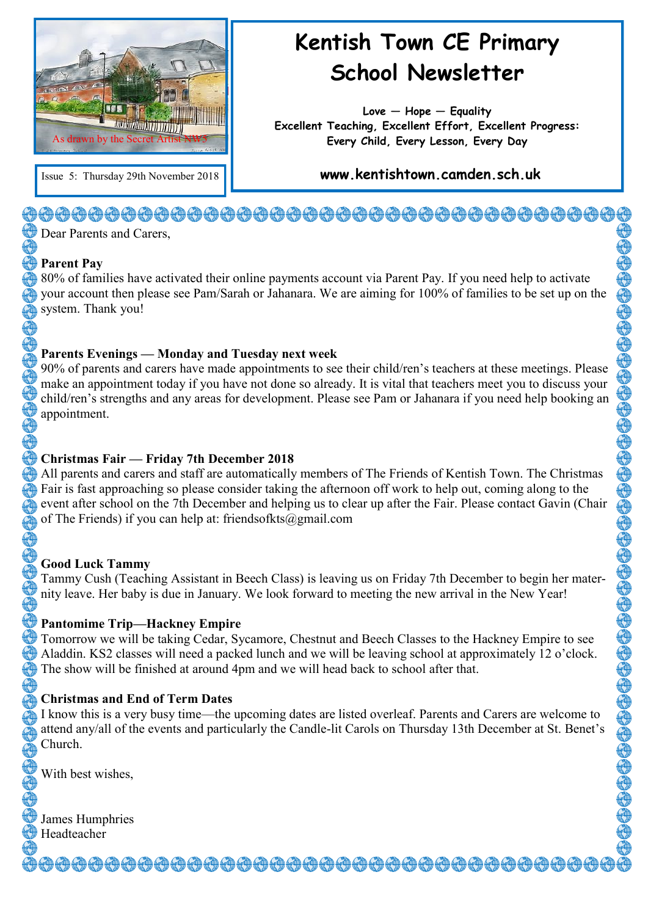

## **Kentish Town CE Primary School Newsletter**

**Love — Hope — Equality Excellent Teaching, Excellent Effort, Excellent Progress: Every Child, Every Lesson, Every Day**

Issue 5: Thursday 29th November 2018 **www.kentishtown.camden.sch.uk** 

#### <del>�</del>@<del>@@@@@@@@@@@@@@@@@@@@@@</del>@@@@@@@@@  $\bigoplus$  Dear Parents and Carers,

#### **Parent Pay**

80% of families have activated their online payments account via Parent Pay. If you need help to activate your account then please see Pam/Sarah or Jahanara. We are aiming for 100% of families to be set up on the system. Thank you!

#### **Parents Evenings — Monday and Tuesday next week**

90% of parents and carers have made appointments to see their child/ren's teachers at these meetings. Please make an appointment today if you have not done so already. It is vital that teachers meet you to discuss your child/ren's strengths and any areas for development. Please see Pam or Jahanara if you need help booking an appointment.

#### **Christmas Fair — Friday 7th December 2018**

All parents and carers and staff are automatically members of The Friends of Kentish Town. The Christmas Fair is fast approaching so please consider taking the afternoon off work to help out, coming along to the event after school on the 7th December and helping us to clear up after the Fair. Please contact Gavin (Chair of The Friends) if you can help at: friendsofkts@gmail.com

#### **Good Luck Tammy**

Tammy Cush (Teaching Assistant in Beech Class) is leaving us on Friday 7th December to begin her maternity leave. Her baby is due in January. We look forward to meeting the new arrival in the New Year!

#### **Pantomime Trip—Hackney Empire**

**Tomorrow we will be taking Cedar, Sycamore, Chestnut and Beech Classes to the Hackney Empire to see** Aladdin. KS2 classes will need a packed lunch and we will be leaving school at approximately 12 o'clock. The show will be finished at around 4pm and we will head back to school after that.

#### **Christmas and End of Term Dates**

I know this is a very busy time—the upcoming dates are listed overleaf. Parents and Carers are welcome to attend any/all of the events and particularly the Candle-lit Carols on Thursday 13th December at St. Benet's Church.

<del>ऄ</del>෯෯෯෯෯෯෯෯෯෯෯෯෯෯෯෯෯෯෯෯෯෯෯෯෯෯෯෯෯

With best wishes,

James Humphries Headteacher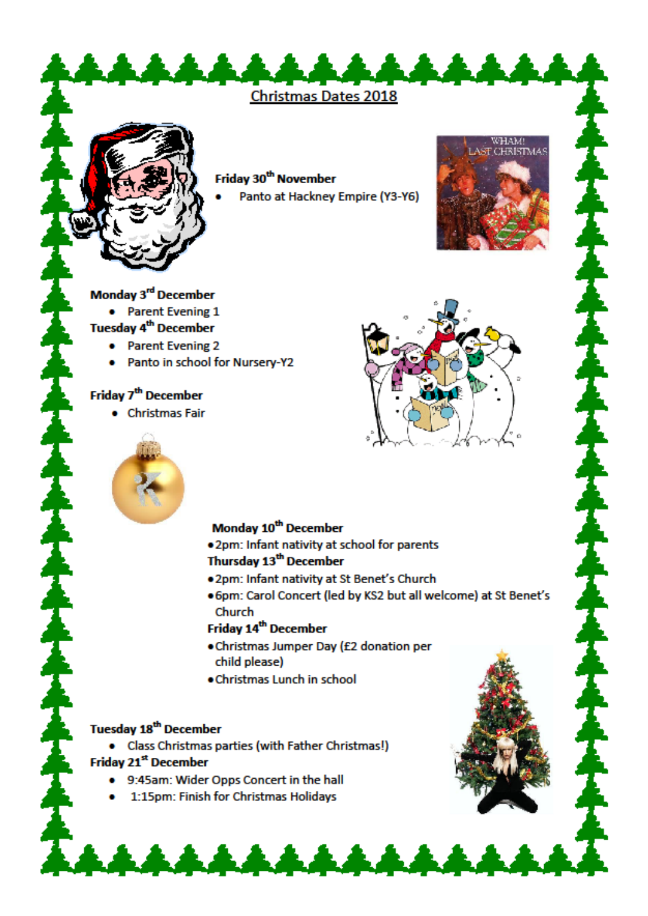**Christmas Dates 2018** 



Friday 30<sup>th</sup> November

Panto at Hackney Empire (Y3-Y6)



• Parent Evening 1

#### **Tuesday 4<sup>th</sup> December**

- Parent Evening 2
- Panto in school for Nursery-Y2

#### Friday 7<sup>th</sup> December

• Christmas Fair



.<br>LAST CHRISTMAS

#### Monday 10<sup>th</sup> December

. 2pm: Infant nativity at school for parents

#### Thursday 13<sup>th</sup> December

- . 2pm: Infant nativity at St Benet's Church
- . 6pm: Carol Concert (led by KS2 but all welcome) at St Benet's Church

#### Friday 14<sup>th</sup> December

- . Christmas Jumper Day (£2 donation per child please)
- . Christmas Lunch in school

\*\*\*\*\*\*\*\*\*\*\*

#### **Tuesday 18<sup>th</sup> December**

• Class Christmas parties (with Father Christmas!)

#### Friday 21<sup>st</sup> December

- . 9:45am: Wider Opps Concert in the hall
- . 1:15pm: Finish for Christmas Holidays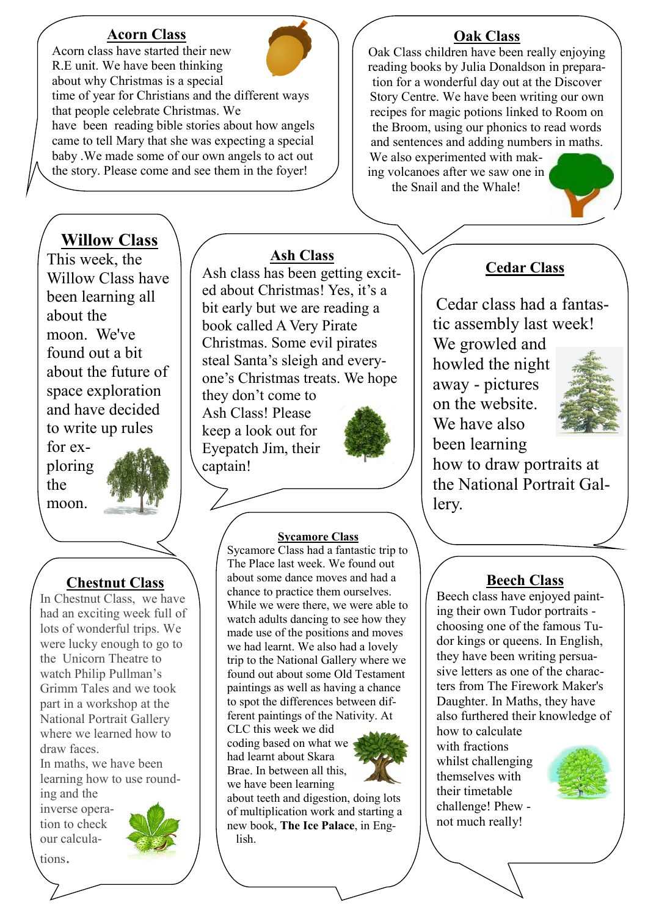#### **Acorn Class** Acorn class have started their new



R.E unit. We have been thinking about why Christmas is a special time of year for Christians and the different ways that people celebrate Christmas. We have been reading bible stories about how angels came to tell Mary that she was expecting a special baby .We made some of our own angels to act out the story. Please come and see them in the foyer!

# **Willow Class**

This week, the Willow Class have been learning all about the moon. We've found out a bit about the future of space exploration and have decided to write up rules

for exploring the moon.



#### **Chestnut Class**

In Chestnut Class, we have had an exciting week full of lots of wonderful trips. We were lucky enough to go to the Unicorn Theatre to watch Philip Pullman's Grimm Tales and we took part in a workshop at the National Portrait Gallery where we learned how to draw faces.

In maths, we have been learning how to use rounding and the

inverse operation to check our calculations.



**Ash Class**

Ash class has been getting excited about Christmas! Yes, it's a bit early but we are reading a book called A Very Pirate Christmas. Some evil pirates steal Santa's sleigh and everyone's Christmas treats. We hope they don't come to

Ash Class! Please keep a look out for Eyepatch Jim, their captain!



#### **Sycamore Class**

Sycamore Class had a fantastic trip to The Place last week. We found out about some dance moves and had a chance to practice them ourselves. While we were there, we were able to watch adults dancing to see how they made use of the positions and moves we had learnt. We also had a lovely trip to the National Gallery where we found out about some Old Testament paintings as well as having a chance to spot the differences between different paintings of the Nativity. At

CLC this week we did coding based on what we had learnt about Skara Brae. In between all this, we have been learning



about teeth and digestion, doing lots of multiplication work and starting a new book, **The Ice Palace**, in English.

#### **Oak Class**

Oak Class children have been really enjoying reading books by Julia Donaldson in preparation for a wonderful day out at the Discover Story Centre. We have been writing our own recipes for magic potions linked to Room on the Broom, using our phonics to read words and sentences and adding numbers in maths. We also experimented with making volcanoes after we saw one in

the Snail and the Whale!

### **Cedar Class**

Cedar class had a fantastic assembly last week!

We growled and howled the night away - pictures on the website. We have also been learning



how to draw portraits at the National Portrait Gallery.

#### **Beech Class**

Beech class have enjoyed painting their own Tudor portraits choosing one of the famous Tudor kings or queens. In English, they have been writing persuasive letters as one of the characters from The Firework Maker's Daughter. In Maths, they have also furthered their knowledge of how to calculate with fractions whilst challenging

themselves with their timetable challenge! Phew not much really!

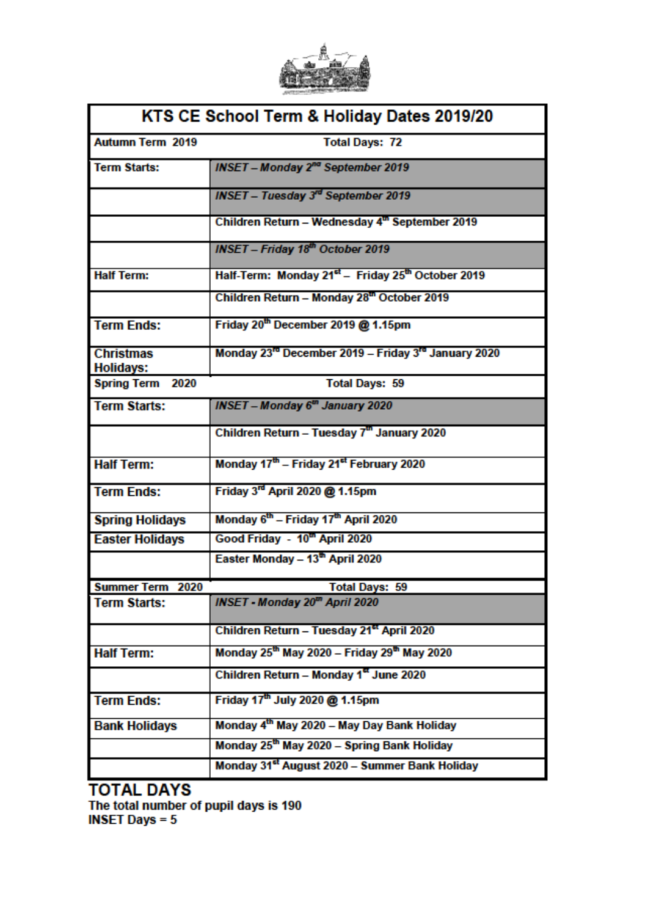

| KTS CE School Term & Holiday Dates 2019/20 |                                                                             |
|--------------------------------------------|-----------------------------------------------------------------------------|
| <b>Autumn Term 2019</b>                    | <b>Total Days: 72</b>                                                       |
| <b>Term Starts:</b>                        | INSET - Monday 2 <sup>nd</sup> September 2019                               |
|                                            | <b>INSET - Tuesday 3rd September 2019</b>                                   |
|                                            | Children Return - Wednesday 4th September 2019                              |
|                                            | <b>INSET - Friday 18th October 2019</b>                                     |
| <b>Half Term:</b>                          | Half-Term: Monday 21 <sup>st</sup> - Friday 25 <sup>th</sup> October 2019   |
|                                            | Children Return - Monday 28th October 2019                                  |
| <b>Term Ends:</b>                          | Friday 20th December 2019 @ 1.15pm                                          |
| <b>Christmas</b><br><b>Holidays:</b>       | Monday 23 <sup>rd</sup> December 2019 - Friday 3 <sup>rd</sup> January 2020 |
| <b>Spring Term 2020</b>                    | <b>Total Days: 59</b>                                                       |
| <b>Term Starts:</b>                        | <b>INSET - Monday 6<sup>th</sup> January 2020</b>                           |
|                                            | Children Return - Tuesday 7 <sup>th</sup> January 2020                      |
| <b>Half Term:</b>                          | Monday 17th - Friday 21 <sup>et</sup> February 2020                         |
| <b>Term Ends:</b>                          | Friday 3 <sup>rd</sup> April 2020 @ 1.15pm                                  |
| <b>Spring Holidays</b>                     | Monday 6 <sup>th</sup> - Friday 17 <sup>th</sup> April 2020                 |
| <b>Easter Holidays</b>                     | Good Friday - 10 <sup>th</sup> April 2020                                   |
|                                            | Easter Monday - 13th April 2020                                             |
| <b>Summer Term 2020</b>                    | <b>Total Days: 59</b>                                                       |
| <b>Term Starts:</b>                        | INSET - Monday 20 <sup>th</sup> April 2020                                  |
|                                            | Children Return - Tuesday 21 <sup>et</sup> April 2020                       |
| <b>Half Term:</b>                          | Monday 25th May 2020 - Friday 29th May 2020                                 |
|                                            | Children Return - Monday 1 <sup>8</sup> June 2020                           |
| <b>Term Ends:</b>                          | Friday 17 <sup>th</sup> July 2020 @ 1.15pm                                  |
| <b>Bank Holidays</b>                       | Monday 4th May 2020 - May Day Bank Holiday                                  |
|                                            | Monday 25th May 2020 - Spring Bank Holiday                                  |
|                                            | Monday 31 <sup>st</sup> August 2020 - Summer Bank Holiday                   |

**TOTAL DAYS** The total number of pupil days is 190<br>INSET Days = 5